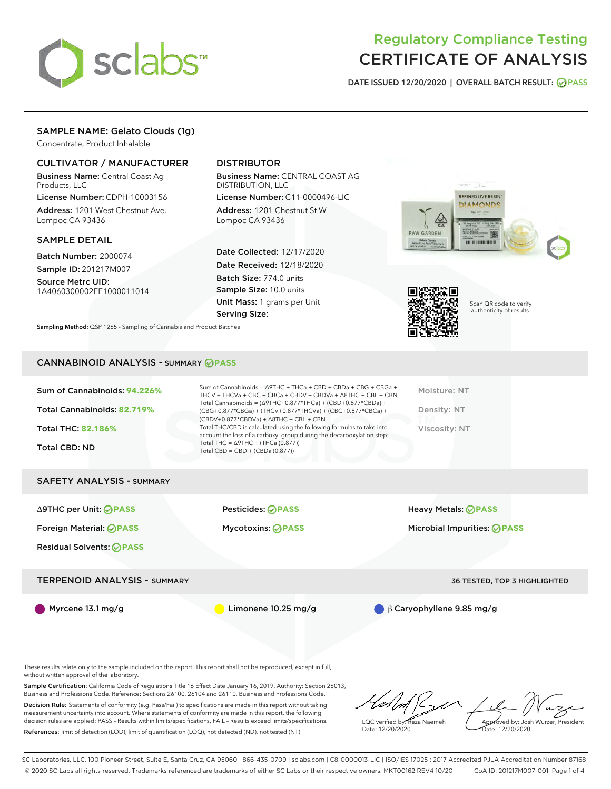

DATE ISSUED 12/20/2020 | OVERALL BATCH RESULT: @ PASS

# SAMPLE NAME: Gelato Clouds (1g)

Concentrate, Product Inhalable

### CULTIVATOR / MANUFACTURER

Business Name: Central Coast Ag Products, LLC

License Number: CDPH-10003156 Address: 1201 West Chestnut Ave. Lompoc CA 93436

### SAMPLE DETAIL

Batch Number: 2000074 Sample ID: 201217M007

Source Metrc UID: 1A4060300002EE1000011014

# DISTRIBUTOR

Business Name: CENTRAL COAST AG DISTRIBUTION, LLC

License Number: C11-0000496-LIC Address: 1201 Chestnut St W Lompoc CA 93436

Date Collected: 12/17/2020 Date Received: 12/18/2020 Batch Size: 774.0 units Sample Size: 10.0 units Unit Mass: 1 grams per Unit Serving Size:





Scan QR code to verify authenticity of results.

Sampling Method: QSP 1265 - Sampling of Cannabis and Product Batches

### CANNABINOID ANALYSIS - SUMMARY **PASS**

| Sum of Cannabinoids: 94.226%<br>Total Cannabinoids: 82.719%<br><b>Total THC: 82.186%</b><br><b>Total CBD: ND</b> | Sum of Cannabinoids = $\triangle$ 9THC + THCa + CBD + CBDa + CBG + CBGa +<br>THCV + THCVa + CBC + CBCa + CBDV + CBDVa + $\triangle$ 8THC + CBL + CBN<br>Total Cannabinoids = $(\Delta$ 9THC+0.877*THCa) + (CBD+0.877*CBDa) +<br>(CBG+0.877*CBGa) + (THCV+0.877*THCVa) + (CBC+0.877*CBCa) +<br>$(CBDV+0.877*CBDVa) + \Delta 8THC + CBL + CBN$<br>Total THC/CBD is calculated using the following formulas to take into<br>account the loss of a carboxyl group during the decarboxylation step:<br>Total THC = $\triangle$ 9THC + (THCa (0.877))<br>Total CBD = $CBD + (CBDa (0.877))$ | Moisture: NT<br>Density: NT<br>Viscosity: NT |
|------------------------------------------------------------------------------------------------------------------|---------------------------------------------------------------------------------------------------------------------------------------------------------------------------------------------------------------------------------------------------------------------------------------------------------------------------------------------------------------------------------------------------------------------------------------------------------------------------------------------------------------------------------------------------------------------------------------|----------------------------------------------|
| <b>SAFETY ANALYSIS - SUMMARY</b>                                                                                 |                                                                                                                                                                                                                                                                                                                                                                                                                                                                                                                                                                                       |                                              |
| $\triangle$ 9THC per Unit: $\odot$ PASS                                                                          | Pesticides: ⊘PASS                                                                                                                                                                                                                                                                                                                                                                                                                                                                                                                                                                     | Heavy Metals: <b>⊘</b> PASS                  |
| Foreign Material: <b>⊘ PASS</b>                                                                                  | <b>Mycotoxins: ⊘PASS</b>                                                                                                                                                                                                                                                                                                                                                                                                                                                                                                                                                              | Microbial Impurities: ⊘PASS                  |
| <b>Residual Solvents: ⊘PASS</b>                                                                                  |                                                                                                                                                                                                                                                                                                                                                                                                                                                                                                                                                                                       |                                              |
| <b>TERPENOID ANALYSIS - SUMMARY</b>                                                                              |                                                                                                                                                                                                                                                                                                                                                                                                                                                                                                                                                                                       | 36 TESTED, TOP 3 HIGHLIGHTED                 |

Myrcene 13.1 mg/g **biography in Contract Contract Contract Contract Contract Contract Contract Contract Contract Contract Contract Contract Point Contract Contract Contract Contract Contract Contract Contract Contract Co** 

These results relate only to the sample included on this report. This report shall not be reproduced, except in full, without written approval of the laboratory.

Sample Certification: California Code of Regulations Title 16 Effect Date January 16, 2019. Authority: Section 26013, Business and Professions Code. Reference: Sections 26100, 26104 and 26110, Business and Professions Code.

Decision Rule: Statements of conformity (e.g. Pass/Fail) to specifications are made in this report without taking measurement uncertainty into account. Where statements of conformity are made in this report, the following decision rules are applied: PASS – Results within limits/specifications, FAIL – Results exceed limits/specifications. References: limit of detection (LOD), limit of quantification (LOQ), not detected (ND), not tested (NT)

LQC verified by: Reza Naemeh Date: 12/20/2020 Approved by: Josh Wurzer, President Date: 12/20/2020

SC Laboratories, LLC. 100 Pioneer Street, Suite E, Santa Cruz, CA 95060 | 866-435-0709 | sclabs.com | C8-0000013-LIC | ISO/IES 17025 : 2017 Accredited PJLA Accreditation Number 87168 © 2020 SC Labs all rights reserved. Trademarks referenced are trademarks of either SC Labs or their respective owners. MKT00162 REV4 10/20 CoA ID: 201217M007-001 Page 1 of 4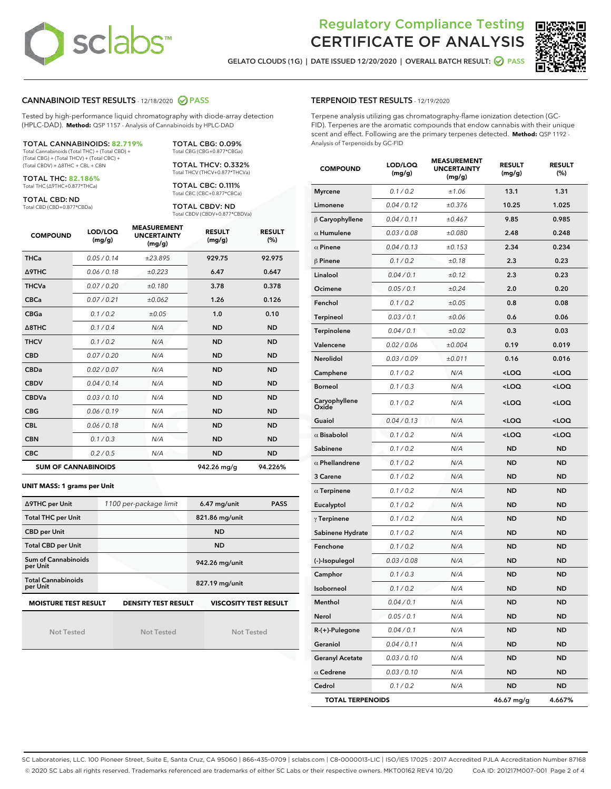

GELATO CLOUDS (1G) | DATE ISSUED 12/20/2020 | OVERALL BATCH RESULT: **O PASS** 



### CANNABINOID TEST RESULTS - 12/18/2020 PASS

Tested by high-performance liquid chromatography with diode-array detection (HPLC-DAD). **Method:** QSP 1157 - Analysis of Cannabinoids by HPLC-DAD

# TOTAL CANNABINOIDS: **82.719%**

Total Cannabinoids (Total THC) + (Total CBD) + (Total CBG) + (Total THCV) + (Total CBC) + (Total CBDV) + ∆8THC + CBL + CBN

TOTAL THC: **82.186%** Total THC (∆9THC+0.877\*THCa)

TOTAL CBD: ND

Total CBD (CBD+0.877\*CBDa)

Total CBG (CBG+0.877\*CBGa) TOTAL THCV: 0.332% Total THCV (THCV+0.877\*THCVa)

TOTAL CBG: 0.09%

TOTAL CBC: 0.111% Total CBC (CBC+0.877\*CBCa)

TOTAL CBDV: ND Total CBDV (CBDV+0.877\*CBDVa)

| <b>COMPOUND</b>            | LOD/LOQ<br>(mg/g) | <b>MEASUREMENT</b><br><b>UNCERTAINTY</b><br>(mg/g) | <b>RESULT</b><br>(mg/g) | <b>RESULT</b><br>(%) |
|----------------------------|-------------------|----------------------------------------------------|-------------------------|----------------------|
| <b>THCa</b>                | 0.05 / 0.14       | ±23.895                                            | 929.75                  | 92.975               |
| <b>A9THC</b>               | 0.06 / 0.18       | ±0.223                                             | 6.47                    | 0.647                |
| <b>THCVa</b>               | 0.07/0.20         | ±0.180                                             | 3.78                    | 0.378                |
| <b>CBCa</b>                | 0.07/0.21         | ±0.062                                             | 1.26                    | 0.126                |
| <b>CBGa</b>                | 0.1/0.2           | ±0.05                                              | 1.0                     | 0.10                 |
| A8THC                      | 0.1 / 0.4         | N/A                                                | <b>ND</b>               | <b>ND</b>            |
| <b>THCV</b>                | 0.1/0.2           | N/A                                                | <b>ND</b>               | <b>ND</b>            |
| <b>CBD</b>                 | 0.07/0.20         | N/A                                                | <b>ND</b>               | <b>ND</b>            |
| <b>CBDa</b>                | 0.02 / 0.07       | N/A                                                | <b>ND</b>               | <b>ND</b>            |
| <b>CBDV</b>                | 0.04/0.14         | N/A                                                | <b>ND</b>               | <b>ND</b>            |
| <b>CBDVa</b>               | 0.03/0.10         | N/A                                                | <b>ND</b>               | <b>ND</b>            |
| <b>CBG</b>                 | 0.06/0.19         | N/A                                                | <b>ND</b>               | <b>ND</b>            |
| <b>CBL</b>                 | 0.06 / 0.18       | N/A                                                | <b>ND</b>               | <b>ND</b>            |
| <b>CBN</b>                 | 0.1/0.3           | N/A                                                | <b>ND</b>               | <b>ND</b>            |
| <b>CBC</b>                 | 0.2 / 0.5         | N/A                                                | <b>ND</b>               | <b>ND</b>            |
| <b>SUM OF CANNABINOIDS</b> |                   |                                                    | 942.26 mg/g             | 94.226%              |

#### **UNIT MASS: 1 grams per Unit**

| ∆9THC per Unit                         | 1100 per-package limit                                                                    | <b>PASS</b><br>$6.47$ mg/unit |  |  |  |  |
|----------------------------------------|-------------------------------------------------------------------------------------------|-------------------------------|--|--|--|--|
| <b>Total THC per Unit</b>              |                                                                                           | 821.86 mg/unit                |  |  |  |  |
| <b>CBD per Unit</b>                    |                                                                                           | <b>ND</b>                     |  |  |  |  |
| <b>Total CBD per Unit</b>              |                                                                                           | <b>ND</b>                     |  |  |  |  |
| <b>Sum of Cannabinoids</b><br>per Unit |                                                                                           | 942.26 mg/unit                |  |  |  |  |
| <b>Total Cannabinoids</b><br>per Unit  |                                                                                           | 827.19 mg/unit                |  |  |  |  |
|                                        | <b>MOISTURE TEST RESULT</b><br><b>VISCOSITY TEST RESULT</b><br><b>DENSITY TEST RESULT</b> |                               |  |  |  |  |

Not Tested

Not Tested

Not Tested

#### TERPENOID TEST RESULTS - 12/19/2020

Terpene analysis utilizing gas chromatography-flame ionization detection (GC-FID). Terpenes are the aromatic compounds that endow cannabis with their unique scent and effect. Following are the primary terpenes detected. **Method:** QSP 1192 - Analysis of Terpenoids by GC-FID

| <b>COMPOUND</b>         | LOD/LOQ<br>(mg/g) | <b>MEASUREMENT</b><br><b>UNCERTAINTY</b><br>(mg/g) | <b>RESULT</b><br>(mg/g)                         | <b>RESULT</b><br>$(\%)$ |
|-------------------------|-------------------|----------------------------------------------------|-------------------------------------------------|-------------------------|
| <b>Myrcene</b>          | 0.1 / 0.2         | ±1.06                                              | 13.1                                            | 1.31                    |
| Limonene                | 0.04 / 0.12       | ±0.376                                             | 10.25                                           | 1.025                   |
| $\beta$ Caryophyllene   | 0.04 / 0.11       | ±0.467                                             | 9.85                                            | 0.985                   |
| $\alpha$ Humulene       | 0.03 / 0.08       | ±0.080                                             | 2.48                                            | 0.248                   |
| $\alpha$ Pinene         | 0.04 / 0.13       | ±0.153                                             | 2.34                                            | 0.234                   |
| $\beta$ Pinene          | 0.1 / 0.2         | ±0.18                                              | 2.3                                             | 0.23                    |
| Linalool                | 0.04 / 0.1        | ±0.12                                              | 2.3                                             | 0.23                    |
| Ocimene                 | 0.05 / 0.1        | ±0.24                                              | 2.0                                             | 0.20                    |
| Fenchol                 | 0.1 / 0.2         | ±0.05                                              | 0.8                                             | 0.08                    |
| <b>Terpineol</b>        | 0.03 / 0.1        | ±0.06                                              | 0.6                                             | 0.06                    |
| Terpinolene             | 0.04 / 0.1        | ±0.02                                              | 0.3                                             | 0.03                    |
| Valencene               | 0.02 / 0.06       | ±0.004                                             | 0.19                                            | 0.019                   |
| Nerolidol               | 0.03 / 0.09       | ±0.011                                             | 0.16                                            | 0.016                   |
| Camphene                | 0.1 / 0.2         | N/A                                                | <loq< td=""><td><loq< td=""></loq<></td></loq<> | <loq< td=""></loq<>     |
| Borneol                 | 0.1 / 0.3         | N/A                                                | <loq< td=""><td><loq< td=""></loq<></td></loq<> | <loq< td=""></loq<>     |
| Caryophyllene<br>Oxide  | 0.1 / 0.2         | N/A                                                | <loq< td=""><td><loq< td=""></loq<></td></loq<> | <loq< td=""></loq<>     |
| Guaiol                  | 0.04 / 0.13       | N/A                                                | <loq< th=""><th><loq< th=""></loq<></th></loq<> | <loq< th=""></loq<>     |
| $\alpha$ Bisabolol      | 0.1 / 0.2         | N/A                                                | <loq< th=""><th><loq< th=""></loq<></th></loq<> | <loq< th=""></loq<>     |
| Sabinene                | 0.1 / 0.2         | N/A                                                | <b>ND</b>                                       | <b>ND</b>               |
| $\alpha$ Phellandrene   | 0.1 / 0.2         | N/A                                                | <b>ND</b>                                       | <b>ND</b>               |
| 3 Carene                | 0.1 / 0.2         | N/A                                                | ND                                              | <b>ND</b>               |
| $\alpha$ Terpinene      | 0.1 / 0.2         | N/A                                                | ND                                              | <b>ND</b>               |
| Eucalyptol              | 0.1 / 0.2         | N/A                                                | <b>ND</b>                                       | <b>ND</b>               |
| $\gamma$ Terpinene      | 0.1 / 0.2         | N/A                                                | ND                                              | <b>ND</b>               |
| Sabinene Hydrate        | 0.1 / 0.2         | N/A                                                | <b>ND</b>                                       | <b>ND</b>               |
| Fenchone                | 0.1 / 0.2         | N/A                                                | <b>ND</b>                                       | <b>ND</b>               |
| (-)-Isopulegol          | 0.03 / 0.08       | N/A                                                | ND                                              | <b>ND</b>               |
| Camphor                 | 0.1 / 0.3         | N/A                                                | ND                                              | <b>ND</b>               |
| Isoborneol              | 0.1 / 0.2         | N/A                                                | <b>ND</b>                                       | <b>ND</b>               |
| Menthol                 | 0.04 / 0.1        | N/A                                                | <b>ND</b>                                       | <b>ND</b>               |
| Nerol                   | 0.05 / 0.1        | N/A                                                | ND                                              | ND                      |
| R-(+)-Pulegone          | 0.04 / 0.1        | N/A                                                | <b>ND</b>                                       | <b>ND</b>               |
| Geraniol                | 0.04 / 0.11       | N/A                                                | ND                                              | ND                      |
| <b>Geranyl Acetate</b>  | 0.03 / 0.10       | N/A                                                | <b>ND</b>                                       | ND                      |
| $\alpha$ Cedrene        | 0.03 / 0.10       | N/A                                                | <b>ND</b>                                       | ND                      |
| Cedrol                  | 0.1 / 0.2         | N/A                                                | <b>ND</b>                                       | ND                      |
| <b>TOTAL TERPENOIDS</b> |                   |                                                    | 46.67 mg/g                                      | 4.667%                  |

SC Laboratories, LLC. 100 Pioneer Street, Suite E, Santa Cruz, CA 95060 | 866-435-0709 | sclabs.com | C8-0000013-LIC | ISO/IES 17025 : 2017 Accredited PJLA Accreditation Number 87168 © 2020 SC Labs all rights reserved. Trademarks referenced are trademarks of either SC Labs or their respective owners. MKT00162 REV4 10/20 CoA ID: 201217M007-001 Page 2 of 4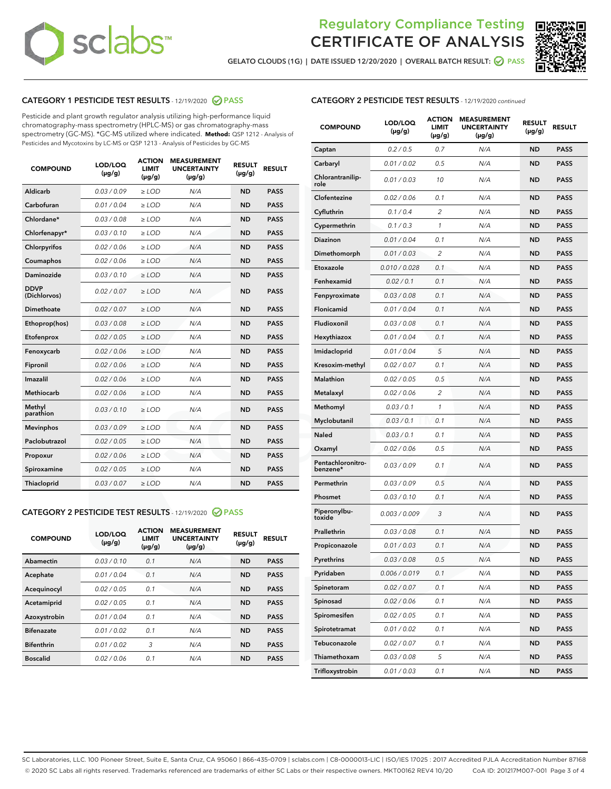

GELATO CLOUDS (1G) | DATE ISSUED 12/20/2020 | OVERALL BATCH RESULT:  $\bigcirc$  PASS



### CATEGORY 1 PESTICIDE TEST RESULTS - 12/19/2020 PASS

Pesticide and plant growth regulator analysis utilizing high-performance liquid chromatography-mass spectrometry (HPLC-MS) or gas chromatography-mass spectrometry (GC-MS). \*GC-MS utilized where indicated. **Method:** QSP 1212 - Analysis of Pesticides and Mycotoxins by LC-MS or QSP 1213 - Analysis of Pesticides by GC-MS

| <b>COMPOUND</b>             | LOD/LOQ<br>$(\mu g/g)$ | <b>ACTION</b><br><b>LIMIT</b><br>$(\mu g/g)$ | <b>MEASUREMENT</b><br><b>UNCERTAINTY</b><br>$(\mu g/g)$ | <b>RESULT</b><br>$(\mu g/g)$ | <b>RESULT</b> |
|-----------------------------|------------------------|----------------------------------------------|---------------------------------------------------------|------------------------------|---------------|
| Aldicarb                    | 0.03/0.09              | $\geq$ LOD                                   | N/A                                                     | <b>ND</b>                    | <b>PASS</b>   |
| Carbofuran                  | 0.01 / 0.04            | ≥ LOD                                        | N/A                                                     | <b>ND</b>                    | <b>PASS</b>   |
| Chlordane*                  | 0.03 / 0.08            | $\ge$ LOD                                    | N/A                                                     | <b>ND</b>                    | <b>PASS</b>   |
| Chlorfenapyr*               | 0.03/0.10              | $\ge$ LOD                                    | N/A                                                     | <b>ND</b>                    | <b>PASS</b>   |
| Chlorpyrifos                | 0.02 / 0.06            | $\geq$ LOD                                   | N/A                                                     | <b>ND</b>                    | <b>PASS</b>   |
| Coumaphos                   | 0.02 / 0.06            | ≥ LOD                                        | N/A                                                     | <b>ND</b>                    | <b>PASS</b>   |
| Daminozide                  | 0.03/0.10              | $\geq$ LOD                                   | N/A                                                     | <b>ND</b>                    | <b>PASS</b>   |
| <b>DDVP</b><br>(Dichlorvos) | 0.02 / 0.07            | $>$ LOD                                      | N/A                                                     | <b>ND</b>                    | <b>PASS</b>   |
| Dimethoate                  | 0.02 / 0.07            | $\ge$ LOD                                    | N/A                                                     | <b>ND</b>                    | <b>PASS</b>   |
| Ethoprop(hos)               | 0.03 / 0.08            | > LOD                                        | N/A                                                     | <b>ND</b>                    | <b>PASS</b>   |
| Etofenprox                  | 0.02 / 0.05            | $\geq$ LOD                                   | N/A                                                     | <b>ND</b>                    | <b>PASS</b>   |
| Fenoxycarb                  | 0.02 / 0.06            | $\ge$ LOD                                    | N/A                                                     | <b>ND</b>                    | <b>PASS</b>   |
| Fipronil                    | 0.02 / 0.06            | $\geq$ LOD                                   | N/A                                                     | <b>ND</b>                    | <b>PASS</b>   |
| Imazalil                    | 0.02 / 0.06            | $\geq$ LOD                                   | N/A                                                     | <b>ND</b>                    | <b>PASS</b>   |
| <b>Methiocarb</b>           | 0.02 / 0.06            | ≥ LOD                                        | N/A                                                     | <b>ND</b>                    | <b>PASS</b>   |
| Methyl<br>parathion         | 0.03/0.10              | $\geq$ LOD                                   | N/A                                                     | <b>ND</b>                    | <b>PASS</b>   |
| <b>Mevinphos</b>            | 0.03/0.09              | $\geq$ LOD                                   | N/A                                                     | <b>ND</b>                    | <b>PASS</b>   |
| Paclobutrazol               | 0.02 / 0.05            | $>$ LOD                                      | N/A                                                     | <b>ND</b>                    | <b>PASS</b>   |
| Propoxur                    | 0.02 / 0.06            | $\geq$ LOD                                   | N/A                                                     | <b>ND</b>                    | <b>PASS</b>   |
| Spiroxamine                 | 0.02 / 0.05            | $\geq$ LOD                                   | N/A                                                     | <b>ND</b>                    | <b>PASS</b>   |
| Thiacloprid                 | 0.03 / 0.07            | $\ge$ LOD                                    | N/A                                                     | <b>ND</b>                    | <b>PASS</b>   |

### CATEGORY 2 PESTICIDE TEST RESULTS - 12/19/2020 PASS

| <b>COMPOUND</b>   | LOD/LOQ<br>$(\mu g/g)$ | <b>ACTION</b><br><b>LIMIT</b><br>$(\mu g/g)$ | <b>MEASUREMENT</b><br><b>UNCERTAINTY</b><br>$(\mu g/g)$ | <b>RESULT</b><br>$(\mu g/g)$ | <b>RESULT</b> |
|-------------------|------------------------|----------------------------------------------|---------------------------------------------------------|------------------------------|---------------|
| Abamectin         | 0.03/0.10              | 0.1                                          | N/A                                                     | <b>ND</b>                    | <b>PASS</b>   |
| Acephate          | 0.01/0.04              | 0.1                                          | N/A                                                     | <b>ND</b>                    | <b>PASS</b>   |
| Acequinocyl       | 0.02/0.05              | 0.1                                          | N/A                                                     | <b>ND</b>                    | <b>PASS</b>   |
| Acetamiprid       | 0.02/0.05              | 0.1                                          | N/A                                                     | <b>ND</b>                    | <b>PASS</b>   |
| Azoxystrobin      | 0.01/0.04              | 0.1                                          | N/A                                                     | <b>ND</b>                    | <b>PASS</b>   |
| <b>Bifenazate</b> | 0.01/0.02              | 0.1                                          | N/A                                                     | <b>ND</b>                    | <b>PASS</b>   |
| <b>Bifenthrin</b> | 0.01/0.02              | 3                                            | N/A                                                     | <b>ND</b>                    | <b>PASS</b>   |
| <b>Boscalid</b>   | 0.02 / 0.06            | 0.1                                          | N/A                                                     | <b>ND</b>                    | <b>PASS</b>   |

| <b>CATEGORY 2 PESTICIDE TEST RESULTS</b> - 12/19/2020 continued |
|-----------------------------------------------------------------|
|-----------------------------------------------------------------|

| <b>COMPOUND</b>               | <b>LOD/LOQ</b><br>$(\mu g/g)$ | <b>ACTION</b><br><b>LIMIT</b><br>(µg/g) | <b>MEASUREMENT</b><br><b>UNCERTAINTY</b><br>(µg/g) | <b>RESULT</b><br>(µg/g) | <b>RESULT</b> |
|-------------------------------|-------------------------------|-----------------------------------------|----------------------------------------------------|-------------------------|---------------|
| Captan                        | 0.2 / 0.5                     | 0.7                                     | N/A                                                | ND                      | <b>PASS</b>   |
| Carbaryl                      | 0.01 / 0.02                   | 0.5                                     | N/A                                                | ND                      | <b>PASS</b>   |
| Chlorantranilip-<br>role      | 0.01 / 0.03                   | 10                                      | N/A                                                | ND                      | <b>PASS</b>   |
| Clofentezine                  | 0.02 / 0.06                   | 0.1                                     | N/A                                                | <b>ND</b>               | <b>PASS</b>   |
| Cyfluthrin                    | 0.1 / 0.4                     | $\overline{2}$                          | N/A                                                | ND                      | <b>PASS</b>   |
| Cypermethrin                  | 0.1 / 0.3                     | 1                                       | N/A                                                | ND                      | <b>PASS</b>   |
| <b>Diazinon</b>               | 0.01 / 0.04                   | 0.1                                     | N/A                                                | ND                      | <b>PASS</b>   |
| Dimethomorph                  | 0.01 / 0.03                   | 2                                       | N/A                                                | ND                      | <b>PASS</b>   |
| Etoxazole                     | 0.010 / 0.028                 | 0.1                                     | N/A                                                | ND                      | <b>PASS</b>   |
| Fenhexamid                    | 0.02 / 0.1                    | 0.1                                     | N/A                                                | ND                      | <b>PASS</b>   |
| Fenpyroximate                 | 0.03 / 0.08                   | 0.1                                     | N/A                                                | ND                      | <b>PASS</b>   |
| Flonicamid                    | 0.01 / 0.04                   | 0.1                                     | N/A                                                | ND                      | <b>PASS</b>   |
| Fludioxonil                   | 0.03 / 0.08                   | 0.1                                     | N/A                                                | ND                      | <b>PASS</b>   |
| Hexythiazox                   | 0.01 / 0.04                   | 0.1                                     | N/A                                                | ND                      | <b>PASS</b>   |
| Imidacloprid                  | 0.01 / 0.04                   | 5                                       | N/A                                                | ND                      | <b>PASS</b>   |
| Kresoxim-methyl               | 0.02 / 0.07                   | 0.1                                     | N/A                                                | ND                      | <b>PASS</b>   |
| <b>Malathion</b>              | 0.02 / 0.05                   | 0.5                                     | N/A                                                | ND                      | <b>PASS</b>   |
| Metalaxyl                     | 0.02 / 0.06                   | 2                                       | N/A                                                | ND                      | <b>PASS</b>   |
| Methomyl                      | 0.03 / 0.1                    | 1                                       | N/A                                                | ND                      | <b>PASS</b>   |
| Myclobutanil                  | 0.03 / 0.1                    | 0.1                                     | N/A                                                | ND                      | <b>PASS</b>   |
| Naled                         | 0.03 / 0.1                    | 0.1                                     | N/A                                                | ND                      | <b>PASS</b>   |
| Oxamyl                        | 0.02 / 0.06                   | 0.5                                     | N/A                                                | ND                      | <b>PASS</b>   |
| Pentachloronitro-<br>benzene* | 0.03 / 0.09                   | 0.1                                     | N/A                                                | ND                      | PASS          |
| Permethrin                    | 0.03/0.09                     | 0.5                                     | N/A                                                | ND                      | <b>PASS</b>   |
| Phosmet                       | 0.03 / 0.10                   | 0.1                                     | N/A                                                | ND                      | <b>PASS</b>   |
| Piperonylbu-<br>toxide        | 0.003 / 0.009                 | 3                                       | N/A                                                | ND                      | <b>PASS</b>   |
| Prallethrin                   | 0.03 / 0.08                   | 0.1                                     | N/A                                                | ND                      | <b>PASS</b>   |
| Propiconazole                 | 0.01 / 0.03                   | 0.1                                     | N/A                                                | ND                      | <b>PASS</b>   |
| Pyrethrins                    | 0.03 / 0.08                   | 0.5                                     | N/A                                                | ND                      | PASS          |
| Pyridaben                     | 0.006 / 0.019                 | 0.1                                     | N/A                                                | ND                      | <b>PASS</b>   |
| Spinetoram                    | 0.02 / 0.07                   | 0.1                                     | N/A                                                | ND                      | <b>PASS</b>   |
| Spinosad                      | 0.02 / 0.06                   | 0.1                                     | N/A                                                | ND                      | <b>PASS</b>   |
| Spiromesifen                  | 0.02 / 0.05                   | 0.1                                     | N/A                                                | <b>ND</b>               | <b>PASS</b>   |
| Spirotetramat                 | 0.01 / 0.02                   | 0.1                                     | N/A                                                | <b>ND</b>               | <b>PASS</b>   |
| Tebuconazole                  | 0.02 / 0.07                   | 0.1                                     | N/A                                                | ND                      | <b>PASS</b>   |
| Thiamethoxam                  | 0.03 / 0.08                   | 5                                       | N/A                                                | <b>ND</b>               | <b>PASS</b>   |
| Trifloxystrobin               | 0.01 / 0.03                   | 0.1                                     | N/A                                                | <b>ND</b>               | <b>PASS</b>   |

SC Laboratories, LLC. 100 Pioneer Street, Suite E, Santa Cruz, CA 95060 | 866-435-0709 | sclabs.com | C8-0000013-LIC | ISO/IES 17025 : 2017 Accredited PJLA Accreditation Number 87168 © 2020 SC Labs all rights reserved. Trademarks referenced are trademarks of either SC Labs or their respective owners. MKT00162 REV4 10/20 CoA ID: 201217M007-001 Page 3 of 4